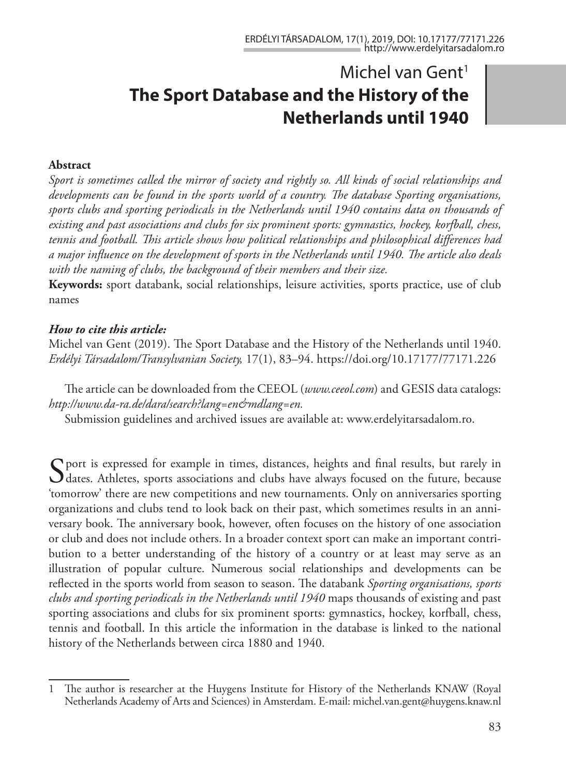# Michel van Gent<sup>1</sup> **The Sport Database and the History of the Netherlands until 1940**

#### **Abstract**

*Sport is sometimes called the mirror of society and rightly so. All kinds of social relationships and developments can be found in the sports world of a country. The database Sporting organisations, sports clubs and sporting periodicals in the Netherlands until 1940 contains data on thousands of existing and past associations and clubs for six prominent sports: gymnastics, hockey, korfball, chess, tennis and football. This article shows how political relationships and philosophical differences had a major influence on the development of sports in the Netherlands until 1940. The article also deals with the naming of clubs, the background of their members and their size.*

**Keywords:** sport databank, social relationships, leisure activities, sports practice, use of club names

#### *How to cite this article:*

Michel van Gent (2019). The Sport Database and the History of the Netherlands until 1940. *Erdélyi Társadalom/Transylvanian Society,* 17(1), 83–94. https://doi.org/10.17177/77171.226

The article can be downloaded from the CEEOL (*www.ceeol.com*) and GESIS data catalogs: *http://www.da-ra.de/dara/search?lang=en&mdlang=en.*

Submission guidelines and archived issues are available at: www.erdelyitarsadalom.ro.

 $\Gamma$  port is expressed for example in times, distances, heights and final results, but rarely in dates. Athletes, sports associations and clubs have always focused on the future, because 'tomorrow' there are new competitions and new tournaments. Only on anniversaries sporting organizations and clubs tend to look back on their past, which sometimes results in an anniversary book. The anniversary book, however, often focuses on the history of one association or club and does not include others. In a broader context sport can make an important contribution to a better understanding of the history of a country or at least may serve as an illustration of popular culture. Numerous social relationships and developments can be reflected in the sports world from season to season. The databank *Sporting organisations, sports clubs and sporting periodicals in the Netherlands until 1940* maps thousands of existing and past sporting associations and clubs for six prominent sports: gymnastics, hockey, korfball, chess, tennis and football. In this article the information in the database is linked to the national history of the Netherlands between circa 1880 and 1940.

<sup>1</sup> The author is researcher at the Huygens Institute for History of the Netherlands KNAW (Royal Netherlands Academy of Arts and Sciences) in Amsterdam. E-mail: michel.van.gent@huygens.knaw.nl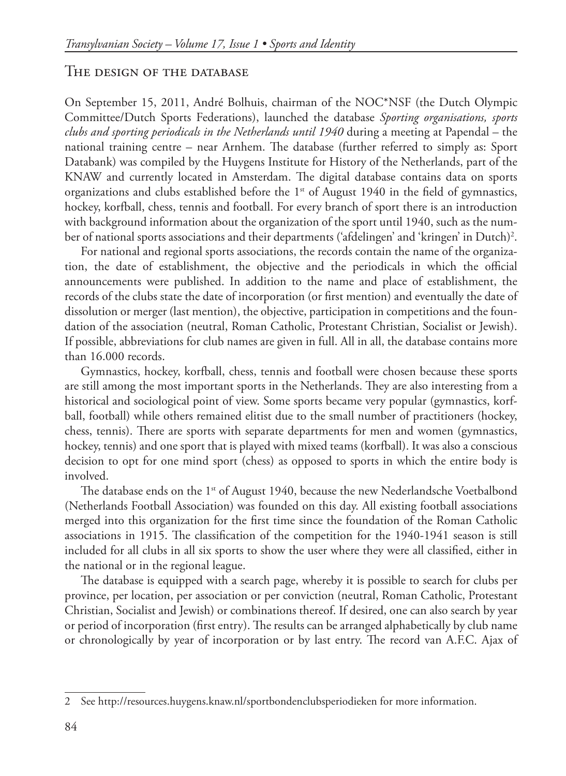#### The design of the database

On September 15, 2011, André Bolhuis, chairman of the NOC\*NSF (the Dutch Olympic Committee/Dutch Sports Federations), launched the database *Sporting organisations, sports clubs and sporting periodicals in the Netherlands until 1940* during a meeting at Papendal – the national training centre – near Arnhem. The database (further referred to simply as: Sport Databank) was compiled by the Huygens Institute for History of the Netherlands, part of the KNAW and currently located in Amsterdam. The digital database contains data on sports organizations and clubs established before the  $1<sup>st</sup>$  of August 1940 in the field of gymnastics, hockey, korfball, chess, tennis and football. For every branch of sport there is an introduction with background information about the organization of the sport until 1940, such as the number of national sports associations and their departments ('afdelingen' and 'kringen' in Dutch)<sup>2</sup>.

For national and regional sports associations, the records contain the name of the organization, the date of establishment, the objective and the periodicals in which the official announcements were published. In addition to the name and place of establishment, the records of the clubs state the date of incorporation (or first mention) and eventually the date of dissolution or merger (last mention), the objective, participation in competitions and the foundation of the association (neutral, Roman Catholic, Protestant Christian, Socialist or Jewish). If possible, abbreviations for club names are given in full. All in all, the database contains more than 16.000 records.

Gymnastics, hockey, korfball, chess, tennis and football were chosen because these sports are still among the most important sports in the Netherlands. They are also interesting from a historical and sociological point of view. Some sports became very popular (gymnastics, korfball, football) while others remained elitist due to the small number of practitioners (hockey, chess, tennis). There are sports with separate departments for men and women (gymnastics, hockey, tennis) and one sport that is played with mixed teams (korfball). It was also a conscious decision to opt for one mind sport (chess) as opposed to sports in which the entire body is involved.

The database ends on the  $1<sup>st</sup>$  of August 1940, because the new Nederlandsche Voetbalbond (Netherlands Football Association) was founded on this day. All existing football associations merged into this organization for the first time since the foundation of the Roman Catholic associations in 1915. The classification of the competition for the 1940-1941 season is still included for all clubs in all six sports to show the user where they were all classified, either in the national or in the regional league.

The database is equipped with a search page, whereby it is possible to search for clubs per province, per location, per association or per conviction (neutral, Roman Catholic, Protestant Christian, Socialist and Jewish) or combinations thereof. If desired, one can also search by year or period of incorporation (first entry). The results can be arranged alphabetically by club name or chronologically by year of incorporation or by last entry. The record van A.F.C. Ajax of

<sup>2</sup> See http://resources.huygens.knaw.nl/sportbondenclubsperiodieken for more information.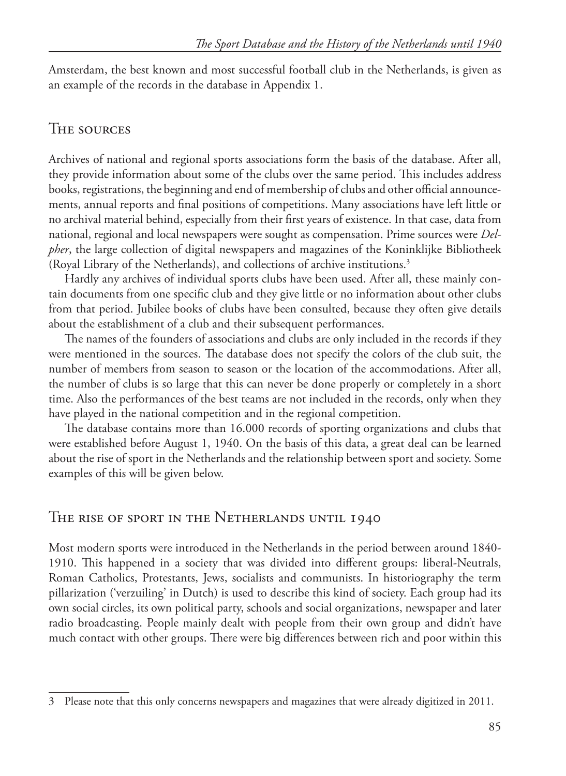Amsterdam, the best known and most successful football club in the Netherlands, is given as an example of the records in the database in Appendix 1.

### The sources

Archives of national and regional sports associations form the basis of the database. After all, they provide information about some of the clubs over the same period. This includes address books, registrations, the beginning and end of membership of clubs and other official announcements, annual reports and final positions of competitions. Many associations have left little or no archival material behind, especially from their first years of existence. In that case, data from national, regional and local newspapers were sought as compensation. Prime sources were *Delpher*, the large collection of digital newspapers and magazines of the Koninklijke Bibliotheek (Royal Library of the Netherlands), and collections of archive institutions.3

Hardly any archives of individual sports clubs have been used. After all, these mainly contain documents from one specific club and they give little or no information about other clubs from that period. Jubilee books of clubs have been consulted, because they often give details about the establishment of a club and their subsequent performances.

The names of the founders of associations and clubs are only included in the records if they were mentioned in the sources. The database does not specify the colors of the club suit, the number of members from season to season or the location of the accommodations. After all, the number of clubs is so large that this can never be done properly or completely in a short time. Also the performances of the best teams are not included in the records, only when they have played in the national competition and in the regional competition.

The database contains more than 16.000 records of sporting organizations and clubs that were established before August 1, 1940. On the basis of this data, a great deal can be learned about the rise of sport in the Netherlands and the relationship between sport and society. Some examples of this will be given below.

### The rise of sport in the Netherlands until 1940

Most modern sports were introduced in the Netherlands in the period between around 1840- 1910. This happened in a society that was divided into different groups: liberal-Neutrals, Roman Catholics, Protestants, Jews, socialists and communists. In historiography the term pillarization ('verzuiling' in Dutch) is used to describe this kind of society. Each group had its own social circles, its own political party, schools and social organizations, newspaper and later radio broadcasting. People mainly dealt with people from their own group and didn't have much contact with other groups. There were big differences between rich and poor within this

<sup>3</sup> Please note that this only concerns newspapers and magazines that were already digitized in 2011.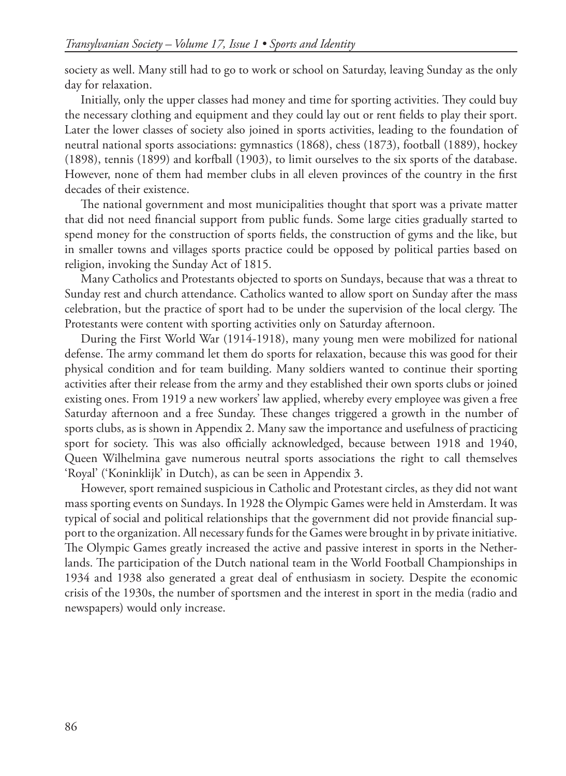society as well. Many still had to go to work or school on Saturday, leaving Sunday as the only day for relaxation.

Initially, only the upper classes had money and time for sporting activities. They could buy the necessary clothing and equipment and they could lay out or rent fields to play their sport. Later the lower classes of society also joined in sports activities, leading to the foundation of neutral national sports associations: gymnastics (1868), chess (1873), football (1889), hockey (1898), tennis (1899) and korfball (1903), to limit ourselves to the six sports of the database. However, none of them had member clubs in all eleven provinces of the country in the first decades of their existence.

The national government and most municipalities thought that sport was a private matter that did not need financial support from public funds. Some large cities gradually started to spend money for the construction of sports fields, the construction of gyms and the like, but in smaller towns and villages sports practice could be opposed by political parties based on religion, invoking the Sunday Act of 1815.

Many Catholics and Protestants objected to sports on Sundays, because that was a threat to Sunday rest and church attendance. Catholics wanted to allow sport on Sunday after the mass celebration, but the practice of sport had to be under the supervision of the local clergy. The Protestants were content with sporting activities only on Saturday afternoon.

During the First World War (1914-1918), many young men were mobilized for national defense. The army command let them do sports for relaxation, because this was good for their physical condition and for team building. Many soldiers wanted to continue their sporting activities after their release from the army and they established their own sports clubs or joined existing ones. From 1919 a new workers' law applied, whereby every employee was given a free Saturday afternoon and a free Sunday. These changes triggered a growth in the number of sports clubs, as is shown in Appendix 2. Many saw the importance and usefulness of practicing sport for society. This was also officially acknowledged, because between 1918 and 1940, Queen Wilhelmina gave numerous neutral sports associations the right to call themselves 'Royal' ('Koninklijk' in Dutch), as can be seen in Appendix 3.

However, sport remained suspicious in Catholic and Protestant circles, as they did not want mass sporting events on Sundays. In 1928 the Olympic Games were held in Amsterdam. It was typical of social and political relationships that the government did not provide financial support to the organization. All necessary funds for the Games were brought in by private initiative. The Olympic Games greatly increased the active and passive interest in sports in the Netherlands. The participation of the Dutch national team in the World Football Championships in 1934 and 1938 also generated a great deal of enthusiasm in society. Despite the economic crisis of the 1930s, the number of sportsmen and the interest in sport in the media (radio and newspapers) would only increase.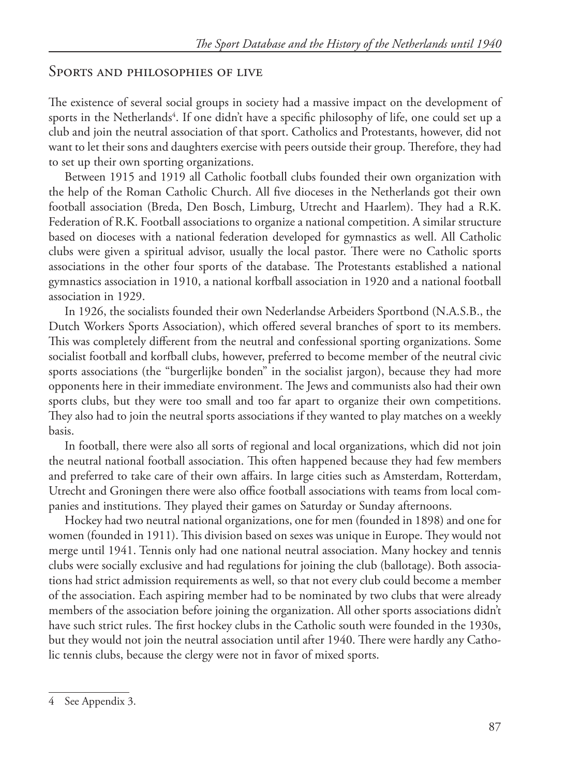#### Sports and philosophies of live

The existence of several social groups in society had a massive impact on the development of sports in the Netherlands<sup>4</sup>. If one didn't have a specific philosophy of life, one could set up a club and join the neutral association of that sport. Catholics and Protestants, however, did not want to let their sons and daughters exercise with peers outside their group. Therefore, they had to set up their own sporting organizations.

Between 1915 and 1919 all Catholic football clubs founded their own organization with the help of the Roman Catholic Church. All five dioceses in the Netherlands got their own football association (Breda, Den Bosch, Limburg, Utrecht and Haarlem). They had a R.K. Federation of R.K. Football associations to organize a national competition. A similar structure based on dioceses with a national federation developed for gymnastics as well. All Catholic clubs were given a spiritual advisor, usually the local pastor. There were no Catholic sports associations in the other four sports of the database. The Protestants established a national gymnastics association in 1910, a national korfball association in 1920 and a national football association in 1929.

In 1926, the socialists founded their own Nederlandse Arbeiders Sportbond (N.A.S.B., the Dutch Workers Sports Association), which offered several branches of sport to its members. This was completely different from the neutral and confessional sporting organizations. Some socialist football and korfball clubs, however, preferred to become member of the neutral civic sports associations (the "burgerlijke bonden" in the socialist jargon), because they had more opponents here in their immediate environment. The Jews and communists also had their own sports clubs, but they were too small and too far apart to organize their own competitions. They also had to join the neutral sports associations if they wanted to play matches on a weekly basis.

In football, there were also all sorts of regional and local organizations, which did not join the neutral national football association. This often happened because they had few members and preferred to take care of their own affairs. In large cities such as Amsterdam, Rotterdam, Utrecht and Groningen there were also office football associations with teams from local companies and institutions. They played their games on Saturday or Sunday afternoons.

Hockey had two neutral national organizations, one for men (founded in 1898) and one for women (founded in 1911). This division based on sexes was unique in Europe. They would not merge until 1941. Tennis only had one national neutral association. Many hockey and tennis clubs were socially exclusive and had regulations for joining the club (ballotage). Both associations had strict admission requirements as well, so that not every club could become a member of the association. Each aspiring member had to be nominated by two clubs that were already members of the association before joining the organization. All other sports associations didn't have such strict rules. The first hockey clubs in the Catholic south were founded in the 1930s, but they would not join the neutral association until after 1940. There were hardly any Catholic tennis clubs, because the clergy were not in favor of mixed sports.

<sup>4</sup> See Appendix 3.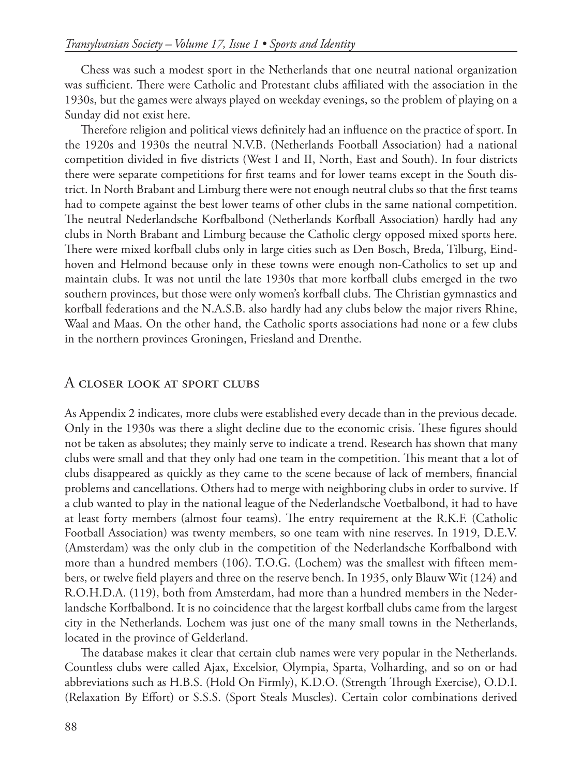Chess was such a modest sport in the Netherlands that one neutral national organization was sufficient. There were Catholic and Protestant clubs affiliated with the association in the 1930s, but the games were always played on weekday evenings, so the problem of playing on a Sunday did not exist here.

Therefore religion and political views definitely had an influence on the practice of sport. In the 1920s and 1930s the neutral N.V.B. (Netherlands Football Association) had a national competition divided in five districts (West I and II, North, East and South). In four districts there were separate competitions for first teams and for lower teams except in the South district. In North Brabant and Limburg there were not enough neutral clubs so that the first teams had to compete against the best lower teams of other clubs in the same national competition. The neutral Nederlandsche Korfbalbond (Netherlands Korfball Association) hardly had any clubs in North Brabant and Limburg because the Catholic clergy opposed mixed sports here. There were mixed korfball clubs only in large cities such as Den Bosch, Breda, Tilburg, Eindhoven and Helmond because only in these towns were enough non-Catholics to set up and maintain clubs. It was not until the late 1930s that more korfball clubs emerged in the two southern provinces, but those were only women's korfball clubs. The Christian gymnastics and korfball federations and the N.A.S.B. also hardly had any clubs below the major rivers Rhine, Waal and Maas. On the other hand, the Catholic sports associations had none or a few clubs in the northern provinces Groningen, Friesland and Drenthe.

#### A closer look at sport clubs

As Appendix 2 indicates, more clubs were established every decade than in the previous decade. Only in the 1930s was there a slight decline due to the economic crisis. These figures should not be taken as absolutes; they mainly serve to indicate a trend. Research has shown that many clubs were small and that they only had one team in the competition. This meant that a lot of clubs disappeared as quickly as they came to the scene because of lack of members, financial problems and cancellations. Others had to merge with neighboring clubs in order to survive. If a club wanted to play in the national league of the Nederlandsche Voetbalbond, it had to have at least forty members (almost four teams). The entry requirement at the R.K.F. (Catholic Football Association) was twenty members, so one team with nine reserves. In 1919, D.E.V. (Amsterdam) was the only club in the competition of the Nederlandsche Korfbalbond with more than a hundred members (106). T.O.G. (Lochem) was the smallest with fifteen members, or twelve field players and three on the reserve bench. In 1935, only Blauw Wit (124) and R.O.H.D.A. (119), both from Amsterdam, had more than a hundred members in the Nederlandsche Korfbalbond. It is no coincidence that the largest korfball clubs came from the largest city in the Netherlands. Lochem was just one of the many small towns in the Netherlands, located in the province of Gelderland.

The database makes it clear that certain club names were very popular in the Netherlands. Countless clubs were called Ajax, Excelsior, Olympia, Sparta, Volharding, and so on or had abbreviations such as H.B.S. (Hold On Firmly), K.D.O. (Strength Through Exercise), O.D.I. (Relaxation By Effort) or S.S.S. (Sport Steals Muscles). Certain color combinations derived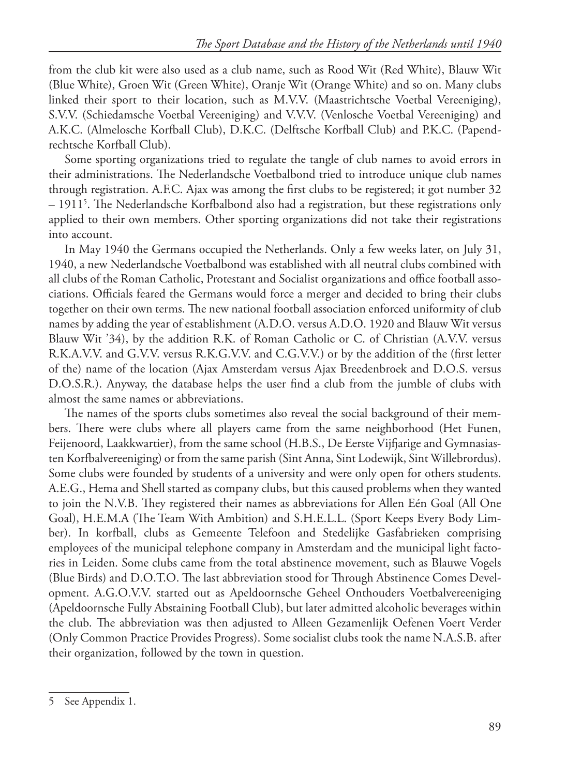from the club kit were also used as a club name, such as Rood Wit (Red White), Blauw Wit (Blue White), Groen Wit (Green White), Oranje Wit (Orange White) and so on. Many clubs linked their sport to their location, such as M.V.V. (Maastrichtsche Voetbal Vereeniging), S.V.V. (Schiedamsche Voetbal Vereeniging) and V.V.V. (Venlosche Voetbal Vereeniging) and A.K.C. (Almelosche Korfball Club), D.K.C. (Delftsche Korfball Club) and P.K.C. (Papendrechtsche Korfball Club).

Some sporting organizations tried to regulate the tangle of club names to avoid errors in their administrations. The Nederlandsche Voetbalbond tried to introduce unique club names through registration. A.F.C. Ajax was among the first clubs to be registered; it got number 32 – 19115 . The Nederlandsche Korfbalbond also had a registration, but these registrations only applied to their own members. Other sporting organizations did not take their registrations into account.

In May 1940 the Germans occupied the Netherlands. Only a few weeks later, on July 31, 1940, a new Nederlandsche Voetbalbond was established with all neutral clubs combined with all clubs of the Roman Catholic, Protestant and Socialist organizations and office football associations. Officials feared the Germans would force a merger and decided to bring their clubs together on their own terms. The new national football association enforced uniformity of club names by adding the year of establishment (A.D.O. versus A.D.O. 1920 and Blauw Wit versus Blauw Wit '34), by the addition R.K. of Roman Catholic or C. of Christian (A.V.V. versus R.K.A.V.V. and G.V.V. versus R.K.G.V.V. and C.G.V.V.) or by the addition of the (first letter of the) name of the location (Ajax Amsterdam versus Ajax Breedenbroek and D.O.S. versus D.O.S.R.). Anyway, the database helps the user find a club from the jumble of clubs with almost the same names or abbreviations.

The names of the sports clubs sometimes also reveal the social background of their members. There were clubs where all players came from the same neighborhood (Het Funen, Feijenoord, Laakkwartier), from the same school (H.B.S., De Eerste Vijfjarige and Gymnasiasten Korfbalvereeniging) or from the same parish (Sint Anna, Sint Lodewijk, Sint Willebrordus). Some clubs were founded by students of a university and were only open for others students. A.E.G., Hema and Shell started as company clubs, but this caused problems when they wanted to join the N.V.B. They registered their names as abbreviations for Allen Eén Goal (All One Goal), H.E.M.A (The Team With Ambition) and S.H.E.L.L. (Sport Keeps Every Body Limber). In korfball, clubs as Gemeente Telefoon and Stedelijke Gasfabrieken comprising employees of the municipal telephone company in Amsterdam and the municipal light factories in Leiden. Some clubs came from the total abstinence movement, such as Blauwe Vogels (Blue Birds) and D.O.T.O. The last abbreviation stood for Through Abstinence Comes Development. A.G.O.V.V. started out as Apeldoornsche Geheel Onthouders Voetbalvereeniging (Apeldoornsche Fully Abstaining Football Club), but later admitted alcoholic beverages within the club. The abbreviation was then adjusted to Alleen Gezamenlijk Oefenen Voert Verder (Only Common Practice Provides Progress). Some socialist clubs took the name N.A.S.B. after their organization, followed by the town in question.

<sup>5</sup> See Appendix 1.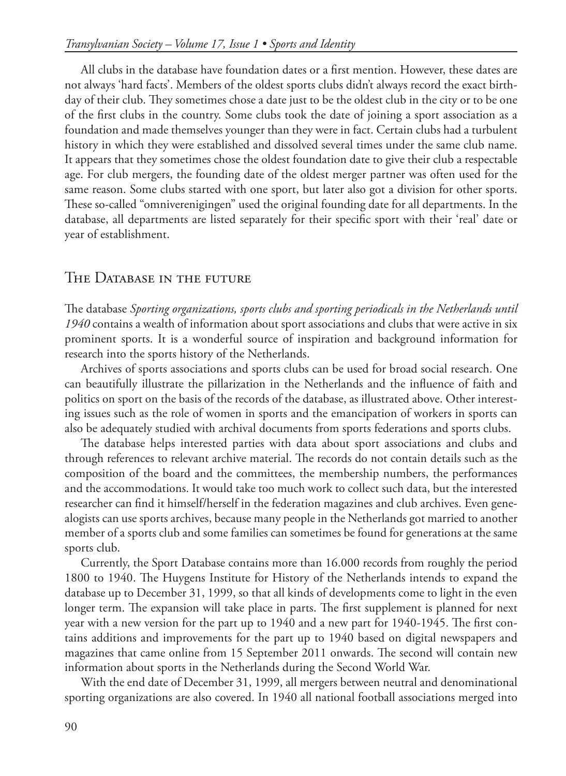All clubs in the database have foundation dates or a first mention. However, these dates are not always 'hard facts'. Members of the oldest sports clubs didn't always record the exact birthday of their club. They sometimes chose a date just to be the oldest club in the city or to be one of the first clubs in the country. Some clubs took the date of joining a sport association as a foundation and made themselves younger than they were in fact. Certain clubs had a turbulent history in which they were established and dissolved several times under the same club name. It appears that they sometimes chose the oldest foundation date to give their club a respectable age. For club mergers, the founding date of the oldest merger partner was often used for the same reason. Some clubs started with one sport, but later also got a division for other sports. These so-called "omniverenigingen" used the original founding date for all departments. In the database, all departments are listed separately for their specific sport with their 'real' date or year of establishment.

#### THE DATABASE IN THE FUTURE

The database *Sporting organizations, sports clubs and sporting periodicals in the Netherlands until 1940* contains a wealth of information about sport associations and clubs that were active in six prominent sports. It is a wonderful source of inspiration and background information for research into the sports history of the Netherlands.

Archives of sports associations and sports clubs can be used for broad social research. One can beautifully illustrate the pillarization in the Netherlands and the influence of faith and politics on sport on the basis of the records of the database, as illustrated above. Other interesting issues such as the role of women in sports and the emancipation of workers in sports can also be adequately studied with archival documents from sports federations and sports clubs.

The database helps interested parties with data about sport associations and clubs and through references to relevant archive material. The records do not contain details such as the composition of the board and the committees, the membership numbers, the performances and the accommodations. It would take too much work to collect such data, but the interested researcher can find it himself/herself in the federation magazines and club archives. Even genealogists can use sports archives, because many people in the Netherlands got married to another member of a sports club and some families can sometimes be found for generations at the same sports club.

Currently, the Sport Database contains more than 16.000 records from roughly the period 1800 to 1940. The Huygens Institute for History of the Netherlands intends to expand the database up to December 31, 1999, so that all kinds of developments come to light in the even longer term. The expansion will take place in parts. The first supplement is planned for next year with a new version for the part up to 1940 and a new part for 1940-1945. The first contains additions and improvements for the part up to 1940 based on digital newspapers and magazines that came online from 15 September 2011 onwards. The second will contain new information about sports in the Netherlands during the Second World War.

With the end date of December 31, 1999, all mergers between neutral and denominational sporting organizations are also covered. In 1940 all national football associations merged into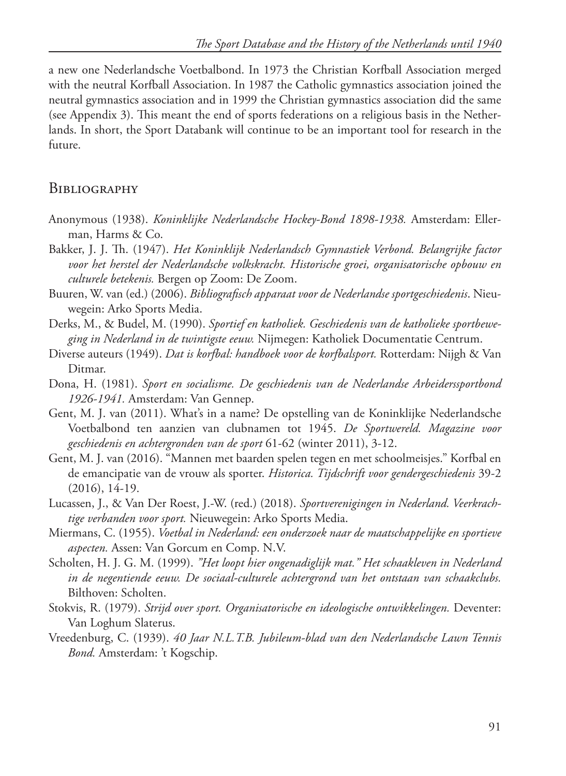a new one Nederlandsche Voetbalbond. In 1973 the Christian Korfball Association merged with the neutral Korfball Association. In 1987 the Catholic gymnastics association joined the neutral gymnastics association and in 1999 the Christian gymnastics association did the same (see Appendix 3). This meant the end of sports federations on a religious basis in the Netherlands. In short, the Sport Databank will continue to be an important tool for research in the future.

### **BIBLIOGRAPHY**

- Anonymous (1938). *Koninklijke Nederlandsche Hockey-Bond 1898-1938.* Amsterdam: Ellerman, Harms & Co.
- Bakker, J. J. Th. (1947). *Het Koninklijk Nederlandsch Gymnastiek Verbond. Belangrijke factor voor het herstel der Nederlandsche volkskracht. Historische groei, organisatorische opbouw en culturele betekenis.* Bergen op Zoom: De Zoom.
- Buuren, W. van (ed.) (2006). *Bibliografisch apparaat voor de Nederlandse sportgeschiedenis*. Nieuwegein: Arko Sports Media.
- Derks, M., & Budel, M. (1990). *Sportief en katholiek. Geschiedenis van de katholieke sportbeweging in Nederland in de twintigste eeuw.* Nijmegen: Katholiek Documentatie Centrum.
- Diverse auteurs (1949). *Dat is korfbal: handboek voor de korfbalsport.* Rotterdam: Nijgh & Van Ditmar.
- Dona, H. (1981). *Sport en socialisme. De geschiedenis van de Nederlandse Arbeiderssportbond 1926-1941.* Amsterdam: Van Gennep.
- Gent, M. J. van (2011). What's in a name? De opstelling van de Koninklijke Nederlandsche Voetbalbond ten aanzien van clubnamen tot 1945. *De Sportwereld. Magazine voor geschiedenis en achtergronden van de sport* 61-62 (winter 2011), 3-12.
- Gent, M. J. van (2016). "Mannen met baarden spelen tegen en met schoolmeisjes." Korfbal en de emancipatie van de vrouw als sporter. *Historica. Tijdschrift voor gendergeschiedenis* 39-2 (2016), 14-19.
- Lucassen, J., & Van Der Roest, J.-W. (red.) (2018). *Sportverenigingen in Nederland. Veerkrachtige verbanden voor sport.* Nieuwegein: Arko Sports Media.
- Miermans, C. (1955). *Voetbal in Nederland: een onderzoek naar de maatschappelijke en sportieve aspecten.* Assen: Van Gorcum en Comp. N.V.
- Scholten, H. J. G. M. (1999). *"Het loopt hier ongenadiglijk mat." Het schaakleven in Nederland in de negentiende eeuw. De sociaal-culturele achtergrond van het ontstaan van schaakclubs.* Bilthoven: Scholten.
- Stokvis, R. (1979). *Strijd over sport. Organisatorische en ideologische ontwikkelingen.* Deventer: Van Loghum Slaterus.
- Vreedenburg, C. (1939). *40 Jaar N.L.T.B. Jubileum-blad van den Nederlandsche Lawn Tennis Bond.* Amsterdam: 't Kogschip.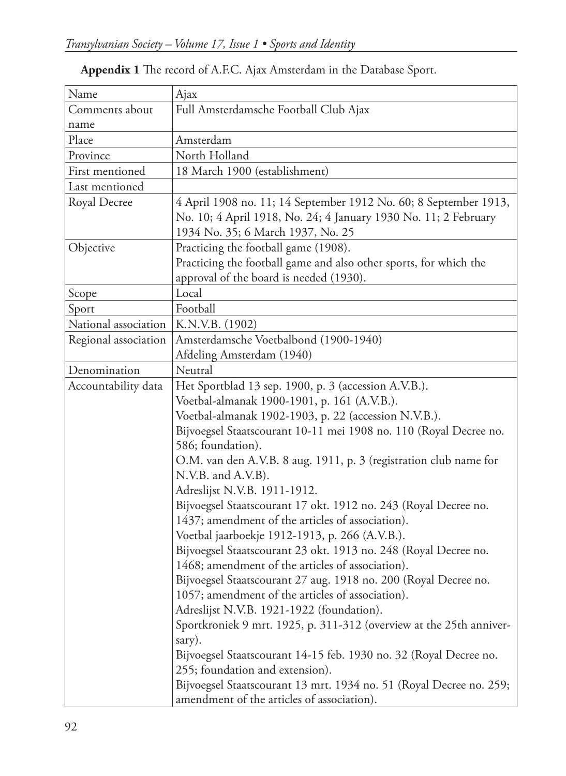### **Appendix 1** The record of A.F.C. Ajax Amsterdam in the Database Sport.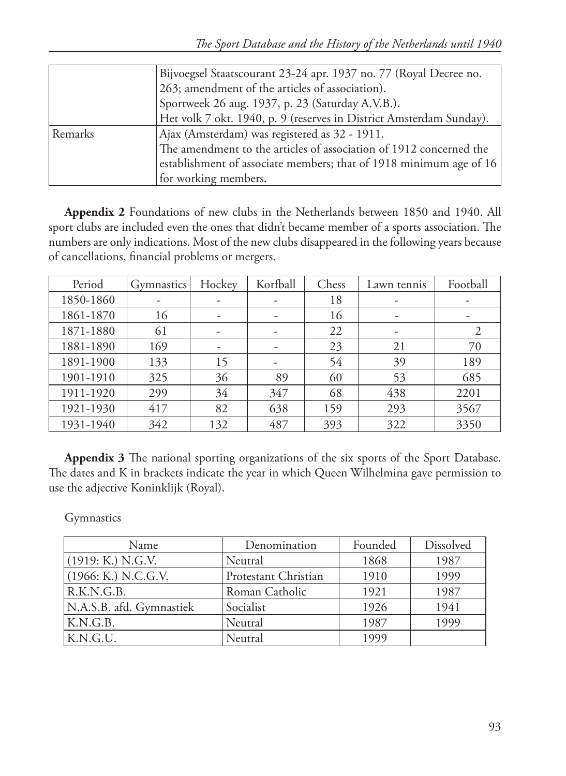|         | Bijvoegsel Staatscourant 23-24 apr. 1937 no. 77 (Royal Decree no.   |
|---------|---------------------------------------------------------------------|
|         | 263; amendment of the articles of association).                     |
|         | Sportweek 26 aug. 1937, p. 23 (Saturday A.V.B.).                    |
|         | Het volk 7 okt. 1940, p. 9 (reserves in District Amsterdam Sunday). |
| Remarks | Ajax (Amsterdam) was registered as 32 - 1911.                       |
|         | The amendment to the articles of association of 1912 concerned the  |
|         | establishment of associate members; that of 1918 minimum age of 16  |
|         | for working members.                                                |

**Appendix 2** Foundations of new clubs in the Netherlands between 1850 and 1940. All sport clubs are included even the ones that didn't became member of a sports association. The numbers are only indications. Most of the new clubs disappeared in the following years because of cancellations, financial problems or mergers.

| Period    | <b>Gymnastics</b> | Hockey | Korfball | Chess | Lawn tennis | Football |
|-----------|-------------------|--------|----------|-------|-------------|----------|
| 1850-1860 |                   | -      | -        | 18    | -           |          |
| 1861-1870 | 16                | -      | -        | 16    | -           |          |
| 1871-1880 | 61                |        |          | 22    |             |          |
| 1881-1890 | 169               | -      |          | 23    | 21          | 70       |
| 1891-1900 | 133               | 15     | -        | 54    | 39          | 189      |
| 1901-1910 | 325               | 36     | 89       | 60    | 53          | 685      |
| 1911-1920 | 299               | 34     | 347      | 68    | 438         | 2201     |
| 1921-1930 | 417               | 82     | 638      | 159   | 293         | 3567     |
| 1931-1940 | 342               | 132    | 487      | 393   | 322         | 3350     |

**Appendix 3** The national sporting organizations of the six sports of the Sport Database. The dates and K in brackets indicate the year in which Queen Wilhelmina gave permission to use the adjective Koninklijk (Royal).

Gymnastics

| Name                     | Denomination         | Founded | Dissolved |
|--------------------------|----------------------|---------|-----------|
| (1919; K) N.G.V.         | Neutral              | 1868    | 1987      |
| (1966: K.) N.C.G.V.      | Protestant Christian | 1910    | 1999      |
| R.K.N.G.B.               | Roman Catholic       | 1921    | 1987      |
| N.A.S.B. afd. Gymnastiek | Socialist            | 1926    | 1941      |
| K.N.G.B.                 | Neutral              | 1987    | 1999      |
| K.N.G.U.                 | Neutral              | 1999    |           |